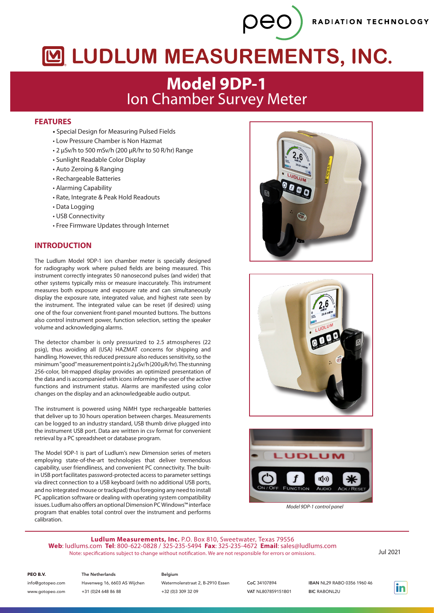RADIATION TECHNOLOGY

# MUDLUM MEASUREMENTS, INC.

peo

## **Model 9DP-1** Ion Chamber Survey Meter

## **FEATURES**

- Special Design for Measuring Pulsed Fields
- Low Pressure Chamber is Non Hazmat
- 2 µSv/h to 500 mSv/h (200 µR/hr to 50 R/hr) Range
- Sunlight Readable Color Display
- Auto Zeroing & Ranging
- Rechargeable Batteries
- Alarming Capability
- Rate, Integrate & Peak Hold Readouts
- Data Logging
- USB Connectivity
- Free Firmware Updates through Internet

## **INTRODUCTION**

The Ludlum Model 9DP-1 ion chamber meter is specially designed for radiography work where pulsed fields are being measured. This instrument correctly integrates 50 nanosecond pulses (and wider) that other systems typically miss or measure inaccurately. This instrument measures both exposure and exposure rate and can simultaneously display the exposure rate, integrated value, and highest rate seen by the instrument. The integrated value can be reset (if desired) using one of the four convenient front-panel mounted buttons. The buttons also control instrument power, function selection, setting the speaker volume and acknowledging alarms.

The detector chamber is only pressurized to 2.5 atmospheres (22 psig), thus avoiding all (USA) HAZMAT concerns for shipping and handling. However, this reduced pressure also reduces sensitivity, so the minimum "good" measurement point is 2 µSv/h (200 µR/hr). The stunning 256-color, bit-mapped display provides an optimized presentation of the data and is accompanied with icons informing the user of the active functions and instrument status. Alarms are manifested using color changes on the display and an acknowledgeable audio output.

The instrument is powered using NiMH type rechargeable batteries that deliver up to 30 hours operation between charges. Measurements can be logged to an industry standard, USB thumb drive plugged into the instrument USB port. Data are written in csv format for convenient retrieval by a PC spreadsheet or database program.

The Model 9DP-1 is part of Ludlum's new Dimension series of meters employing state-of-the-art technologies that deliver tremendous capability, user friendliness, and convenient PC connectivity. The builtin USB port facilitates password-protected access to parameter settings via direct connection to a USB keyboard (with no additional USB ports, and no integrated mouse or trackpad) thus foregoing any need to install PC application software or dealing with operating system compatibility issues. Ludlum also offers an optional Dimension PC Windows™ interface program that enables total control over the instrument and performs calibration.







*Model 9DP-1 control panel*

**Ludlum Measurements, Inc.** P.O. Box 810, Sweetwater, Texas 79556 **Web**: ludlums.com **Tel**: 800-622-0828 / 325-235-5494 **Fax**: 325-235-4672 **Email**: sales@ludlums.com Note: specifications subject to change without notification. We are not responsible for errors or omissions. Jul 2021

PEO B.V.

## info@gotopeo.com

www.gotopeo.com

The Netherlands Havenweg 16, 6603 AS Wijchen +31 (0)24 648 86 88

## Belgium

Watermolenstraat 2, B-2910 Essen +32 (0)3 309 32 09

CoC 34107894 VAT NL807859151B01 IBAN NL29 RABO 0356 1960 46 **BIC RABONL2U**